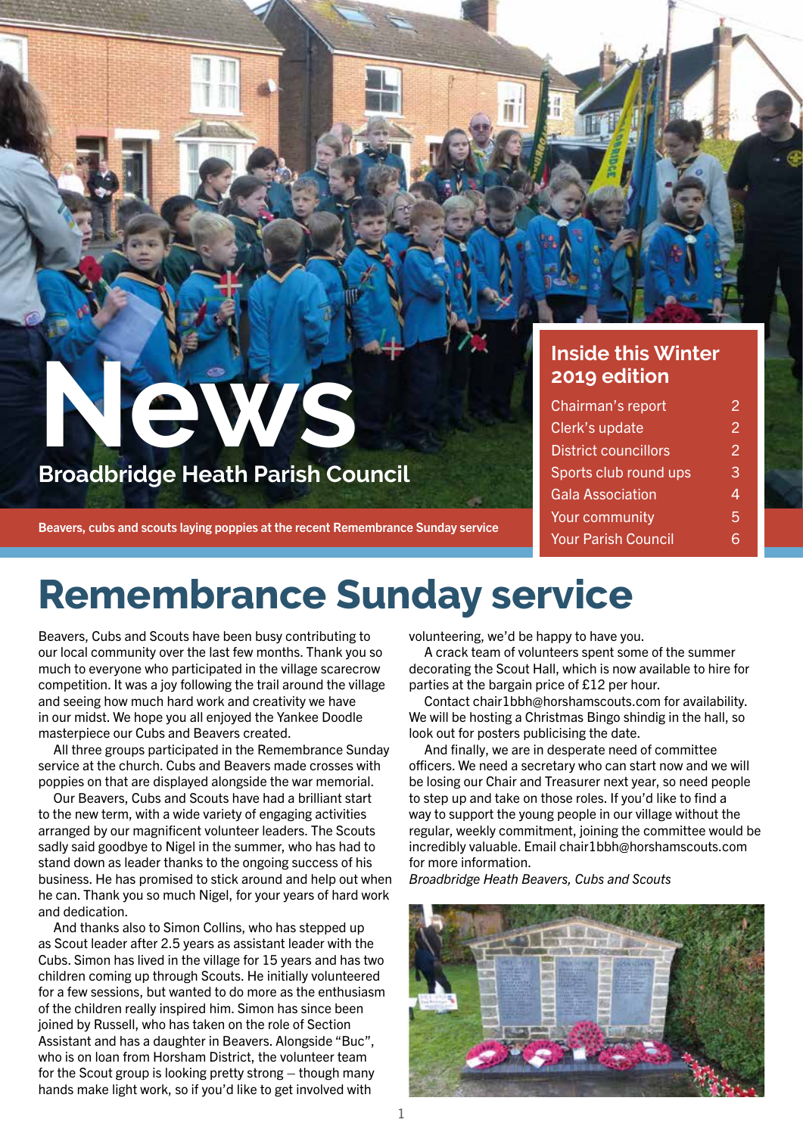### **Inside this Winter 2019 edition**

| Chairman's report           | 2 |
|-----------------------------|---|
| Clerk's update              | 2 |
| <b>District councillors</b> | 2 |
| Sports club round ups       | 3 |
| <b>Gala Association</b>     | 4 |
| <b>Your community</b>       | 5 |
| <b>Your Parish Council</b>  |   |

## **Remembrance Sunday service**

Beavers, Cubs and Scouts have been busy contributing to our local community over the last few months. Thank you so much to everyone who participated in the village scarecrow competition. It was a joy following the trail around the village and seeing how much hard work and creativity we have in our midst. We hope you all enjoyed the Yankee Doodle masterpiece our Cubs and Beavers created.

**News**

Beavers, cubs and scouts laying poppies at the recent Remembrance Sunday service

**Broadbridge Heath Parish Council**

All three groups participated in the Remembrance Sunday service at the church. Cubs and Beavers made crosses with poppies on that are displayed alongside the war memorial.

Our Beavers, Cubs and Scouts have had a brilliant start to the new term, with a wide variety of engaging activities arranged by our magnificent volunteer leaders. The Scouts sadly said goodbye to Nigel in the summer, who has had to stand down as leader thanks to the ongoing success of his business. He has promised to stick around and help out when he can. Thank you so much Nigel, for your years of hard work and dedication.

And thanks also to Simon Collins, who has stepped up as Scout leader after 2.5 years as assistant leader with the Cubs. Simon has lived in the village for 15 years and has two children coming up through Scouts. He initially volunteered for a few sessions, but wanted to do more as the enthusiasm of the children really inspired him. Simon has since been joined by Russell, who has taken on the role of Section Assistant and has a daughter in Beavers. Alongside "Buc", who is on loan from Horsham District, the volunteer team for the Scout group is looking pretty strong – though many hands make light work, so if you'd like to get involved with

volunteering, we'd be happy to have you.

A crack team of volunteers spent some of the summer decorating the Scout Hall, which is now available to hire for parties at the bargain price of £12 per hour.

Contact chair1bbh@horshamscouts.com for availability. We will be hosting a Christmas Bingo shindig in the hall, so look out for posters publicising the date.

And finally, we are in desperate need of committee officers. We need a secretary who can start now and we will be losing our Chair and Treasurer next year, so need people to step up and take on those roles. If you'd like to find a way to support the young people in our village without the regular, weekly commitment, joining the committee would be incredibly valuable. Email chair1bbh@horshamscouts.com for more information.

*Broadbridge Heath Beavers, Cubs and Scouts*

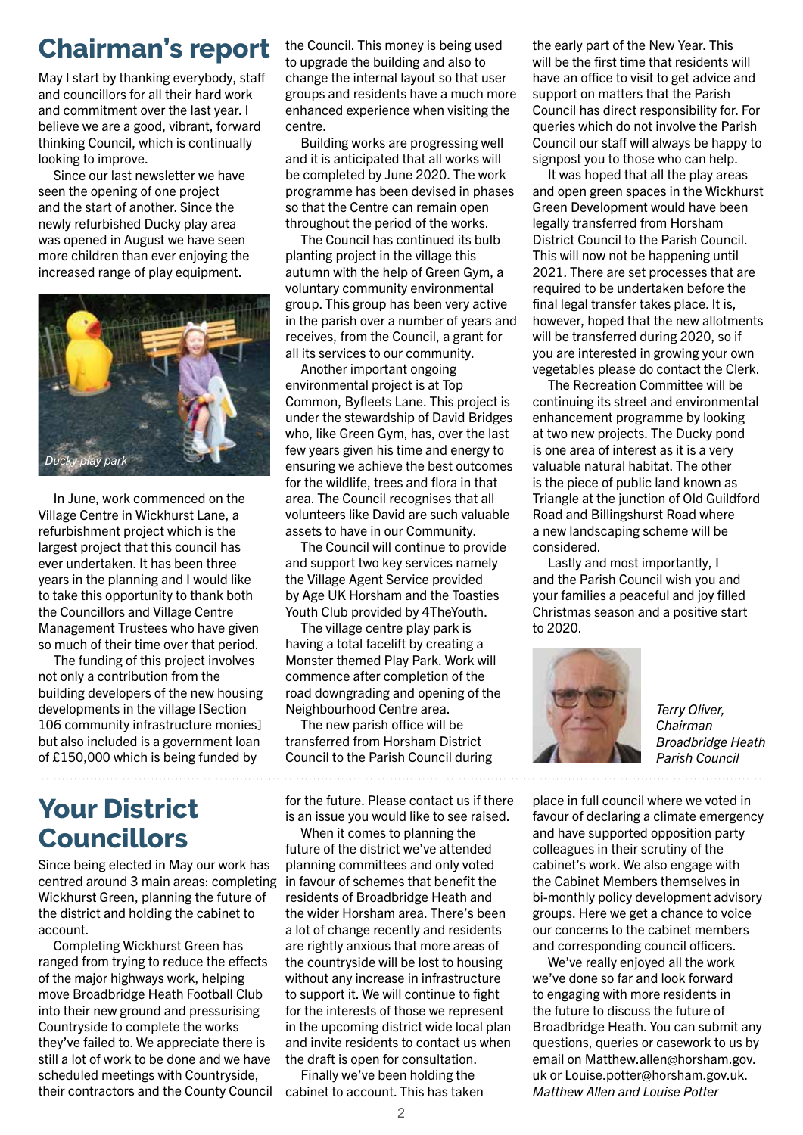## **Chairman's report**

May I start by thanking everybody, staff and councillors for all their hard work and commitment over the last year. I believe we are a good, vibrant, forward thinking Council, which is continually looking to improve.

Since our last newsletter we have seen the opening of one project and the start of another. Since the newly refurbished Ducky play area was opened in August we have seen more children than ever enjoying the increased range of play equipment.



In June, work commenced on the Village Centre in Wickhurst Lane, a refurbishment project which is the largest project that this council has ever undertaken. It has been three years in the planning and I would like to take this opportunity to thank both the Councillors and Village Centre Management Trustees who have given so much of their time over that period.

The funding of this project involves not only a contribution from the building developers of the new housing developments in the village [Section 106 community infrastructure monies] but also included is a government loan of £150,000 which is being funded by

## **Your District Councillors**

Since being elected in May our work has centred around 3 main areas: completing Wickhurst Green, planning the future of the district and holding the cabinet to account.

Completing Wickhurst Green has ranged from trying to reduce the effects of the major highways work, helping move Broadbridge Heath Football Club into their new ground and pressurising Countryside to complete the works they've failed to. We appreciate there is still a lot of work to be done and we have scheduled meetings with Countryside, their contractors and the County Council cabinet to account. This has taken

the Council. This money is being used to upgrade the building and also to change the internal layout so that user groups and residents have a much more enhanced experience when visiting the centre.

Building works are progressing well and it is anticipated that all works will be completed by June 2020. The work programme has been devised in phases so that the Centre can remain open throughout the period of the works.

The Council has continued its bulb planting project in the village this autumn with the help of Green Gym, a voluntary community environmental group. This group has been very active in the parish over a number of years and receives, from the Council, a grant for all its services to our community.

Another important ongoing environmental project is at Top Common, Byfleets Lane. This project is under the stewardship of David Bridges who, like Green Gym, has, over the last few years given his time and energy to ensuring we achieve the best outcomes for the wildlife, trees and flora in that area. The Council recognises that all volunteers like David are such valuable assets to have in our Community.

The Council will continue to provide and support two key services namely the Village Agent Service provided by Age UK Horsham and the Toasties Youth Club provided by 4TheYouth.

The village centre play park is having a total facelift by creating a Monster themed Play Park. Work will commence after completion of the road downgrading and opening of the Neighbourhood Centre area.

The new parish office will be transferred from Horsham District Council to the Parish Council during

for the future. Please contact us if there is an issue you would like to see raised.

When it comes to planning the future of the district we've attended planning committees and only voted in favour of schemes that benefit the residents of Broadbridge Heath and the wider Horsham area. There's been a lot of change recently and residents are rightly anxious that more areas of the countryside will be lost to housing without any increase in infrastructure to support it. We will continue to fight for the interests of those we represent in the upcoming district wide local plan and invite residents to contact us when the draft is open for consultation.

Finally we've been holding the

the early part of the New Year. This will be the first time that residents will have an office to visit to get advice and support on matters that the Parish Council has direct responsibility for. For queries which do not involve the Parish Council our staff will always be happy to signpost you to those who can help.

It was hoped that all the play areas and open green spaces in the Wickhurst Green Development would have been legally transferred from Horsham District Council to the Parish Council. This will now not be happening until 2021. There are set processes that are required to be undertaken before the final legal transfer takes place. It is, however, hoped that the new allotments will be transferred during 2020, so if you are interested in growing your own vegetables please do contact the Clerk.

The Recreation Committee will be continuing its street and environmental enhancement programme by looking at two new projects. The Ducky pond is one area of interest as it is a very valuable natural habitat. The other is the piece of public land known as Triangle at the junction of Old Guildford Road and Billingshurst Road where a new landscaping scheme will be considered.

Lastly and most importantly, I and the Parish Council wish you and your families a peaceful and joy filled Christmas season and a positive start to 2020.



*Terry Oliver, Chairman Broadbridge Heath Parish Council*

place in full council where we voted in favour of declaring a climate emergency and have supported opposition party colleagues in their scrutiny of the cabinet's work. We also engage with the Cabinet Members themselves in bi-monthly policy development advisory groups. Here we get a chance to voice our concerns to the cabinet members and corresponding council officers.

We've really enjoyed all the work we've done so far and look forward to engaging with more residents in the future to discuss the future of Broadbridge Heath. You can submit any questions, queries or casework to us by email on Matthew.allen@horsham.gov. uk or Louise.potter@horsham.gov.uk. *Matthew Allen and Louise Potter*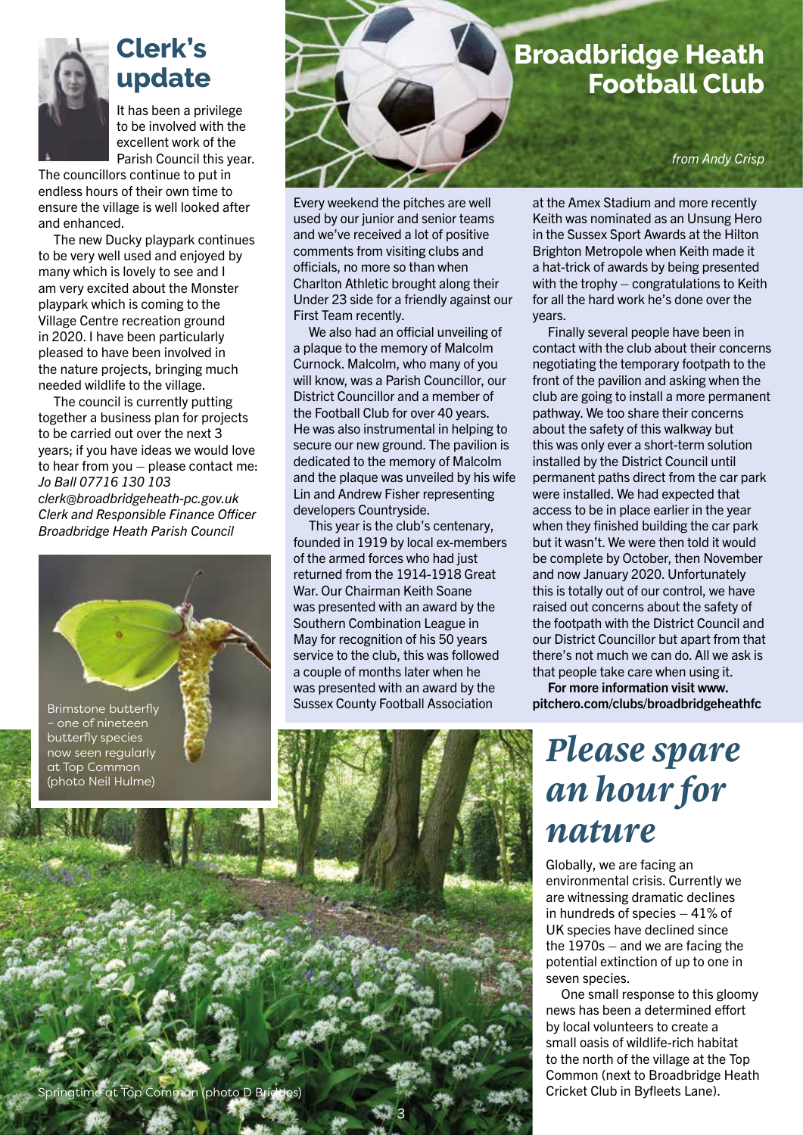

## **Clerk's update**

It has been a privilege to be involved with the excellent work of the Parish Council this year.

The councillors continue to put in endless hours of their own time to ensure the village is well looked after and enhanced.

The new Ducky playpark continues to be very well used and enjoyed by many which is lovely to see and I am very excited about the Monster playpark which is coming to the Village Centre recreation ground in 2020. I have been particularly pleased to have been involved in the nature projects, bringing much needed wildlife to the village.

The council is currently putting together a business plan for projects to be carried out over the next 3 years; if you have ideas we would love to hear from you – please contact me: *Jo Ball 07716 130 103 clerk@broadbridgeheath-pc.gov.uk Clerk and Responsible Finance Officer Broadbridge Heath Parish Council*



Springtime at Top Common (photo D Bridges)

butterfly species now seen regularly at Top Common (photo Neil Hulme)



Every weekend the pitches are well used by our junior and senior teams and we've received a lot of positive comments from visiting clubs and officials, no more so than when Charlton Athletic brought along their Under 23 side for a friendly against our First Team recently.

We also had an official unveiling of a plaque to the memory of Malcolm Curnock. Malcolm, who many of you will know, was a Parish Councillor, our District Councillor and a member of the Football Club for over 40 years. He was also instrumental in helping to secure our new ground. The pavilion is dedicated to the memory of Malcolm and the plaque was unveiled by his wife Lin and Andrew Fisher representing developers Countryside.

This year is the club's centenary, founded in 1919 by local ex-members of the armed forces who had just returned from the 1914-1918 Great War. Our Chairman Keith Soane was presented with an award by the Southern Combination League in May for recognition of his 50 years service to the club, this was followed a couple of months later when he was presented with an award by the Sussex County Football Association

3

at the Amex Stadium and more recently Keith was nominated as an Unsung Hero in the Sussex Sport Awards at the Hilton Brighton Metropole when Keith made it a hat-trick of awards by being presented with the trophy – congratulations to Keith for all the hard work he's done over the years.

Finally several people have been in contact with the club about their concerns negotiating the temporary footpath to the front of the pavilion and asking when the club are going to install a more permanent pathway. We too share their concerns about the safety of this walkway but this was only ever a short-term solution installed by the District Council until permanent paths direct from the car park were installed. We had expected that access to be in place earlier in the year when they finished building the car park but it wasn't. We were then told it would be complete by October, then November and now January 2020. Unfortunately this is totally out of our control, we have raised out concerns about the safety of the footpath with the District Council and our District Councillor but apart from that there's not much we can do. All we ask is that people take care when using it.

For more information visit www. pitchero.com/clubs/broadbridgeheathfc

## *Please spare an hour for nature*

Globally, we are facing an environmental crisis. Currently we are witnessing dramatic declines in hundreds of species – 41% of UK species have declined since the 1970s – and we are facing the potential extinction of up to one in seven species.

One small response to this gloomy news has been a determined effort by local volunteers to create a small oasis of wildlife-rich habitat to the north of the village at the Top Common (next to Broadbridge Heath Cricket Club in Byfleets Lane).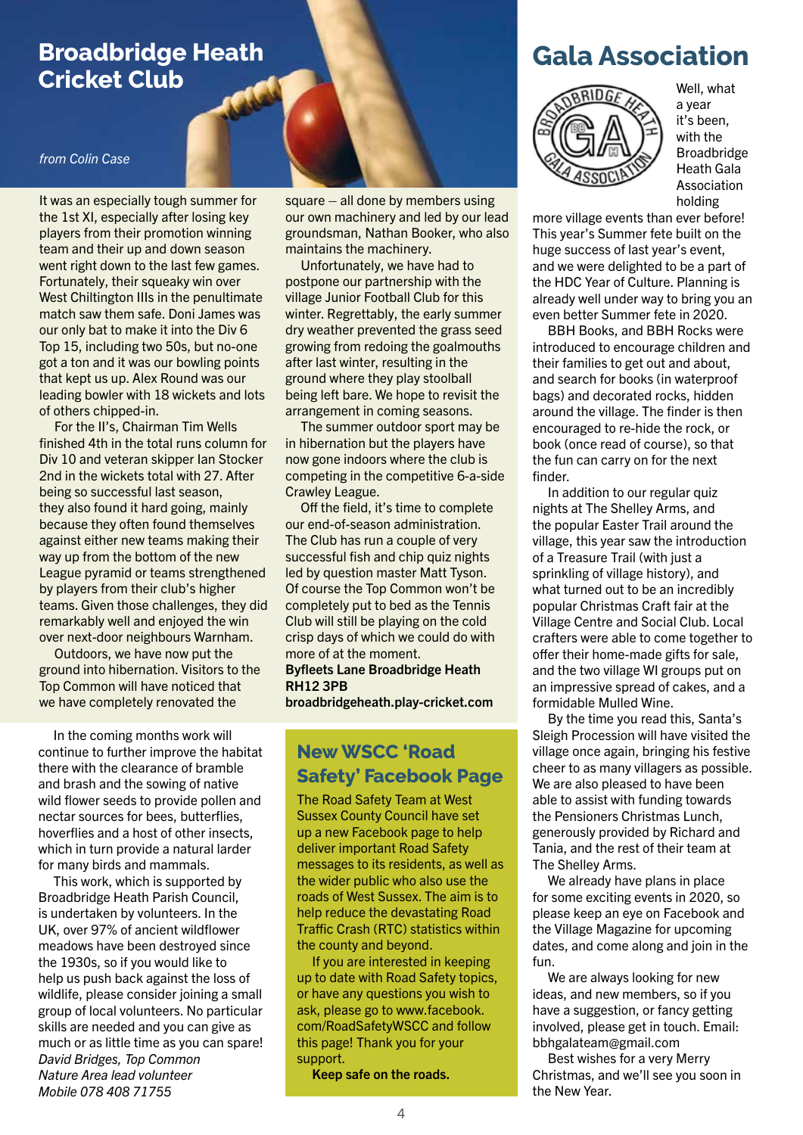### **Broadbridge Heath Cricket Club**

#### *from Colin Case*

It was an especially tough summer for the 1st XI, especially after losing key players from their promotion winning team and their up and down season went right down to the last few games. Fortunately, their squeaky win over West Chiltington IIIs in the penultimate match saw them safe. Doni James was our only bat to make it into the Div 6 Top 15, including two 50s, but no-one got a ton and it was our bowling points that kept us up. Alex Round was our leading bowler with 18 wickets and lots of others chipped-in.

For the II's, Chairman Tim Wells finished 4th in the total runs column for Div 10 and veteran skipper Ian Stocker 2nd in the wickets total with 27. After being so successful last season, they also found it hard going, mainly because they often found themselves against either new teams making their way up from the bottom of the new League pyramid or teams strengthened by players from their club's higher teams. Given those challenges, they did remarkably well and enjoyed the win over next-door neighbours Warnham.

Outdoors, we have now put the ground into hibernation. Visitors to the Top Common will have noticed that we have completely renovated the

In the coming months work will continue to further improve the habitat there with the clearance of bramble and brash and the sowing of native wild flower seeds to provide pollen and nectar sources for bees, butterflies, hoverflies and a host of other insects, which in turn provide a natural larder for many birds and mammals.

This work, which is supported by Broadbridge Heath Parish Council, is undertaken by volunteers. In the UK, over 97% of ancient wildflower meadows have been destroyed since the 1930s, so if you would like to help us push back against the loss of wildlife, please consider joining a small group of local volunteers. No particular skills are needed and you can give as much or as little time as you can spare! *David Bridges, Top Common Nature Area lead volunteer Mobile 078 408 71755*

square – all done by members using our own machinery and led by our lead groundsman, Nathan Booker, who also maintains the machinery.

Unfortunately, we have had to postpone our partnership with the village Junior Football Club for this winter. Regrettably, the early summer dry weather prevented the grass seed growing from redoing the goalmouths after last winter, resulting in the ground where they play stoolball being left bare. We hope to revisit the arrangement in coming seasons.

The summer outdoor sport may be in hibernation but the players have now gone indoors where the club is competing in the competitive 6-a-side Crawley League.

Off the field, it's time to complete our end-of-season administration. The Club has run a couple of very successful fish and chip quiz nights led by question master Matt Tyson. Of course the Top Common won't be completely put to bed as the Tennis Club will still be playing on the cold crisp days of which we could do with more of at the moment.

Byfleets Lane Broadbridge Heath RH12 3PB

broadbridgeheath.play-cricket.com

### **New WSCC 'Road Safety' Facebook Page**

The Road Safety Team at West Sussex County Council have set up a new Facebook page to help deliver important Road Safety messages to its residents, as well as the wider public who also use the roads of West Sussex. The aim is to help reduce the devastating Road Traffic Crash (RTC) statistics within the county and beyond.

If you are interested in keeping up to date with Road Safety topics, or have any questions you wish to ask, please go to www.facebook. com/RoadSafetyWSCC and follow this page! Thank you for your support.

Keep safe on the roads.

### **Gala Association**



Well, what a year it's been, with the Broadbridge Heath Gala Association holding

more village events than ever before! This year's Summer fete built on the huge success of last year's event, and we were delighted to be a part of the HDC Year of Culture. Planning is already well under way to bring you an even better Summer fete in 2020.

BBH Books, and BBH Rocks were introduced to encourage children and their families to get out and about, and search for books (in waterproof bags) and decorated rocks, hidden around the village. The finder is then encouraged to re-hide the rock, or book (once read of course), so that the fun can carry on for the next finder.

In addition to our regular quiz nights at The Shelley Arms, and the popular Easter Trail around the village, this year saw the introduction of a Treasure Trail (with just a sprinkling of village history), and what turned out to be an incredibly popular Christmas Craft fair at the Village Centre and Social Club. Local crafters were able to come together to offer their home-made gifts for sale, and the two village WI groups put on an impressive spread of cakes, and a formidable Mulled Wine.

By the time you read this, Santa's Sleigh Procession will have visited the village once again, bringing his festive cheer to as many villagers as possible. We are also pleased to have been able to assist with funding towards the Pensioners Christmas Lunch, generously provided by Richard and Tania, and the rest of their team at The Shelley Arms.

We already have plans in place for some exciting events in 2020, so please keep an eye on Facebook and the Village Magazine for upcoming dates, and come along and join in the fun.

We are always looking for new ideas, and new members, so if you have a suggestion, or fancy getting involved, please get in touch. Email: bbhgalateam@gmail.com

Best wishes for a very Merry Christmas, and we'll see you soon in the New Year.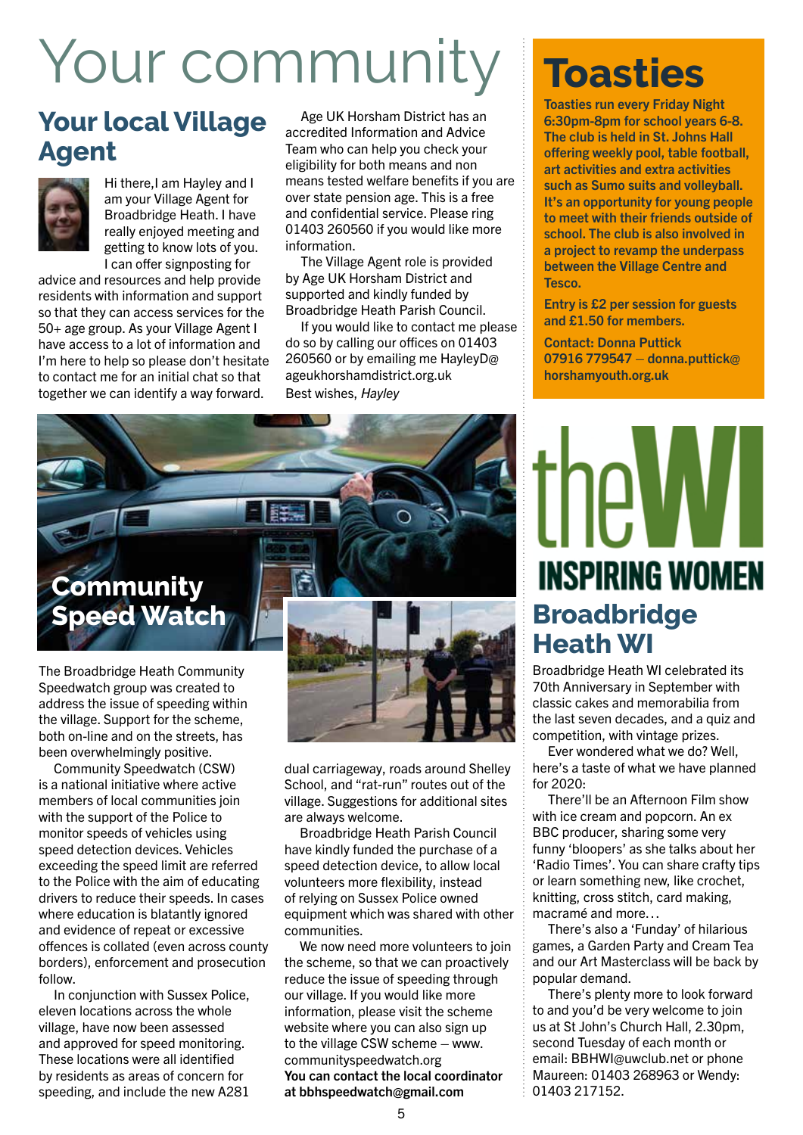# Your communit

## **Your local Village Agent**



Hi there,I am Hayley and I am your Village Agent for Broadbridge Heath. I have really enjoyed meeting and getting to know lots of you. I can offer signposting for

advice and resources and help provide residents with information and support so that they can access services for the 50+ age group. As your Village Agent I have access to a lot of information and I'm here to help so please don't hesitate to contact me for an initial chat so that together we can identify a way forward.

Age UK Horsham District has an accredited Information and Advice Team who can help you check your eligibility for both means and non means tested welfare benefits if you are over state pension age. This is a free and confidential service. Please ring 01403 260560 if you would like more information.

The Village Agent role is provided by Age UK Horsham District and supported and kindly funded by Broadbridge Heath Parish Council.

If you would like to contact me please do so by calling our offices on 01403 260560 or by emailing me HayleyD@ ageukhorshamdistrict.org.uk Best wishes, *Hayley* 

## **Community Speed Watch**

The Broadbridge Heath Community Speedwatch group was created to address the issue of speeding within the village. Support for the scheme, both on-line and on the streets, has been overwhelmingly positive.

Community Speedwatch (CSW) is a national initiative where active members of local communities join with the support of the Police to monitor speeds of vehicles using speed detection devices. Vehicles exceeding the speed limit are referred to the Police with the aim of educating drivers to reduce their speeds. In cases where education is blatantly ignored and evidence of repeat or excessive offences is collated (even across county borders), enforcement and prosecution follow.

In conjunction with Sussex Police, eleven locations across the whole village, have now been assessed and approved for speed monitoring. These locations were all identified by residents as areas of concern for speeding, and include the new A281 dual carriageway, roads around Shelley School, and "rat-run" routes out of the village. Suggestions for additional sites are always welcome.

Broadbridge Heath Parish Council have kindly funded the purchase of a speed detection device, to allow local volunteers more flexibility, instead of relying on Sussex Police owned equipment which was shared with other communities.

We now need more volunteers to join the scheme, so that we can proactively reduce the issue of speeding through our village. If you would like more information, please visit the scheme website where you can also sign up to the village CSW scheme – www. communityspeedwatch.org You can contact the local coordinator at bbhspeedwatch@gmail.com

## **Toasties**

Toasties run every Friday Night 6:30pm-8pm for school years 6-8. The club is held in St. Johns Hall offering weekly pool, table football, art activities and extra activities such as Sumo suits and volleyball. It's an opportunity for young people to meet with their friends outside of school. The club is also involved in a project to revamp the underpass between the Village Centre and Tesco.

Entry is £2 per session for guests and £1.50 for members.

Contact: Donna Puttick 07916 779547 – donna.puttick@ horshamyouth.org.uk

## the WI **INSPIRING WOMEN Broadbridge Heath WI**

Broadbridge Heath WI celebrated its 70th Anniversary in September with classic cakes and memorabilia from the last seven decades, and a quiz and competition, with vintage prizes.

Ever wondered what we do? Well, here's a taste of what we have planned for 2020:

There'll be an Afternoon Film show with ice cream and popcorn. An ex BBC producer, sharing some very funny 'bloopers' as she talks about her 'Radio Times'. You can share crafty tips or learn something new, like crochet, knitting, cross stitch, card making, macramé and more…

There's also a 'Funday' of hilarious games, a Garden Party and Cream Tea and our Art Masterclass will be back by popular demand.

There's plenty more to look forward to and you'd be very welcome to join us at St John's Church Hall, 2.30pm, second Tuesday of each month or email: BBHWI@uwclub.net or phone Maureen: 01403 268963 or Wendy: 01403 217152.